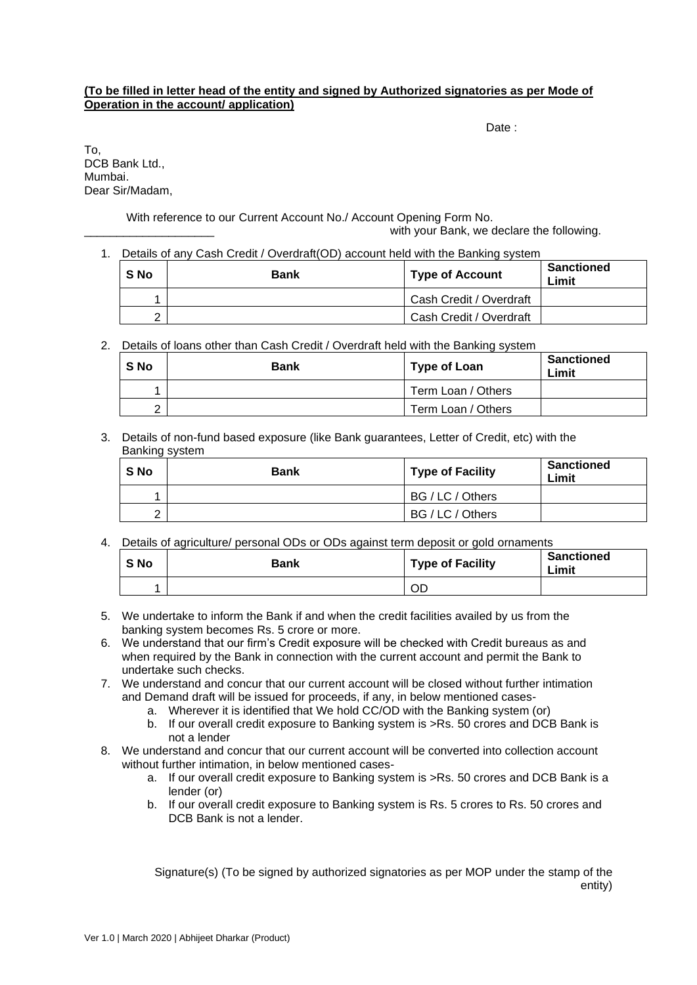## **(To be filled in letter head of the entity and signed by Authorized signatories as per Mode of Operation in the account/ application)**

Date:

To, DCB Bank Ltd., Mumbai. Dear Sir/Madam,

With reference to our Current Account No./ Account Opening Form No.

with your Bank, we declare the following.

1. Details of any Cash Credit / Overdraft(OD) account held with the Banking system

| S No | <b>Bank</b> | <b>Type of Account</b>  | <b>Sanctioned</b><br>Limit |
|------|-------------|-------------------------|----------------------------|
|      |             | Cash Credit / Overdraft |                            |
|      |             | Cash Credit / Overdraft |                            |

2. Details of loans other than Cash Credit / Overdraft held with the Banking system

| S No | <b>Bank</b> | <b>Type of Loan</b> | Sanctioned<br>Limit |
|------|-------------|---------------------|---------------------|
|      |             | Term Loan / Others  |                     |
|      |             | Term Loan / Others  |                     |

3. Details of non-fund based exposure (like Bank guarantees, Letter of Credit, etc) with the Banking system

| S No | <b>Bank</b> | <b>Type of Facility</b> | <b>Sanctioned</b><br>Limit |
|------|-------------|-------------------------|----------------------------|
|      |             | BG / LC / Others        |                            |
|      |             | BG / LC / Others        |                            |

4. Details of agriculture/ personal ODs or ODs against term deposit or gold ornaments

| S No | Bank | <b>Type of Facility</b> | <b>Sanctioned</b><br>Limit |
|------|------|-------------------------|----------------------------|
|      |      | OD                      |                            |

- 5. We undertake to inform the Bank if and when the credit facilities availed by us from the banking system becomes Rs. 5 crore or more.
- 6. We understand that our firm's Credit exposure will be checked with Credit bureaus as and when required by the Bank in connection with the current account and permit the Bank to undertake such checks.
- 7. We understand and concur that our current account will be closed without further intimation and Demand draft will be issued for proceeds, if any, in below mentioned cases
	- a. Wherever it is identified that We hold CC/OD with the Banking system (or)
	- b. If our overall credit exposure to Banking system is >Rs. 50 crores and DCB Bank is not a lender
- 8. We understand and concur that our current account will be converted into collection account without further intimation, in below mentioned cases
	- a. If our overall credit exposure to Banking system is >Rs. 50 crores and DCB Bank is a lender (or)
	- b. If our overall credit exposure to Banking system is Rs. 5 crores to Rs. 50 crores and DCB Bank is not a lender.

Signature(s) (To be signed by authorized signatories as per MOP under the stamp of the entity)